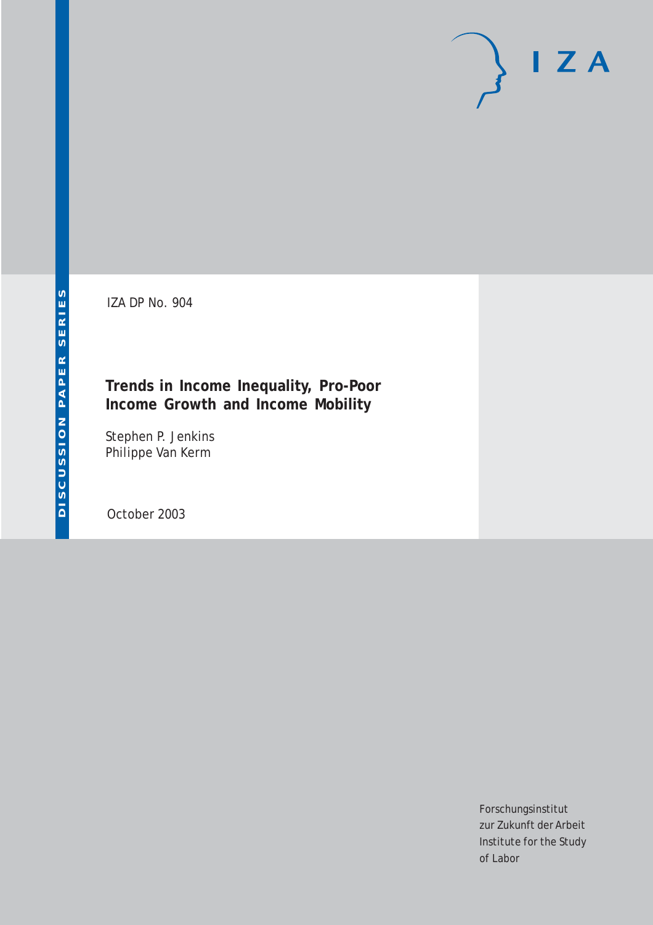IZA DP No. 904

#### **Trends in Income Inequality, Pro-Poor Income Growth and Income Mobility**

Stephen P. Jenkins Philippe Van Kerm

October 2003

Forschungsinstitut zur Zukunft der Arbeit Institute for the Study of Labor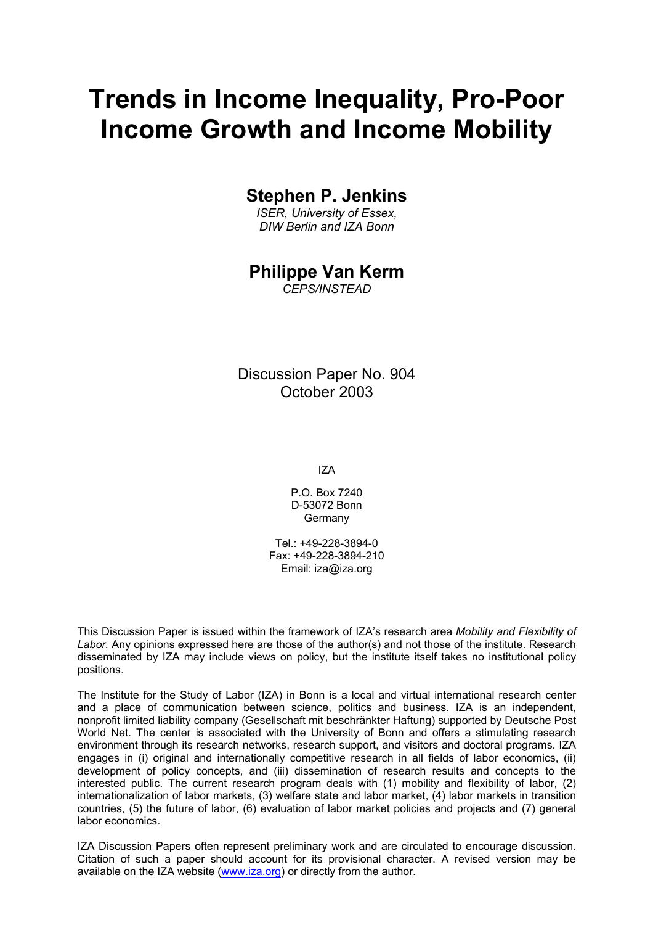# **Trends in Income Inequality, Pro-Poor Income Growth and Income Mobility**

#### **Stephen P. Jenkins**

*ISER, University of Essex, DIW Berlin and IZA Bonn*

#### **Philippe Van Kerm**

*CEPS/INSTEAD* 

Discussion Paper No. 904 October 2003

IZA

P.O. Box 7240 D-53072 Bonn Germany

Tel.: +49-228-3894-0 Fax: +49-228-3894-210 Email: [iza@iza.org](mailto:iza@iza.org)

This Discussion Paper is issued within the framework of IZA's research area *Mobility and Flexibility of Labor.* Any opinions expressed here are those of the author(s) and not those of the institute. Research disseminated by IZA may include views on policy, but the institute itself takes no institutional policy positions.

The Institute for the Study of Labor (IZA) in Bonn is a local and virtual international research center and a place of communication between science, politics and business. IZA is an independent, nonprofit limited liability company (Gesellschaft mit beschränkter Haftung) supported by Deutsche Post World Net. The center is associated with the University of Bonn and offers a stimulating research environment through its research networks, research support, and visitors and doctoral programs. IZA engages in (i) original and internationally competitive research in all fields of labor economics, (ii) development of policy concepts, and (iii) dissemination of research results and concepts to the interested public. The current research program deals with (1) mobility and flexibility of labor, (2) internationalization of labor markets, (3) welfare state and labor market, (4) labor markets in transition countries, (5) the future of labor, (6) evaluation of labor market policies and projects and (7) general labor economics.

IZA Discussion Papers often represent preliminary work and are circulated to encourage discussion. Citation of such a paper should account for its provisional character. A revised version may be available on the IZA website ([www.iza.org](http://www.iza.org/)) or directly from the author.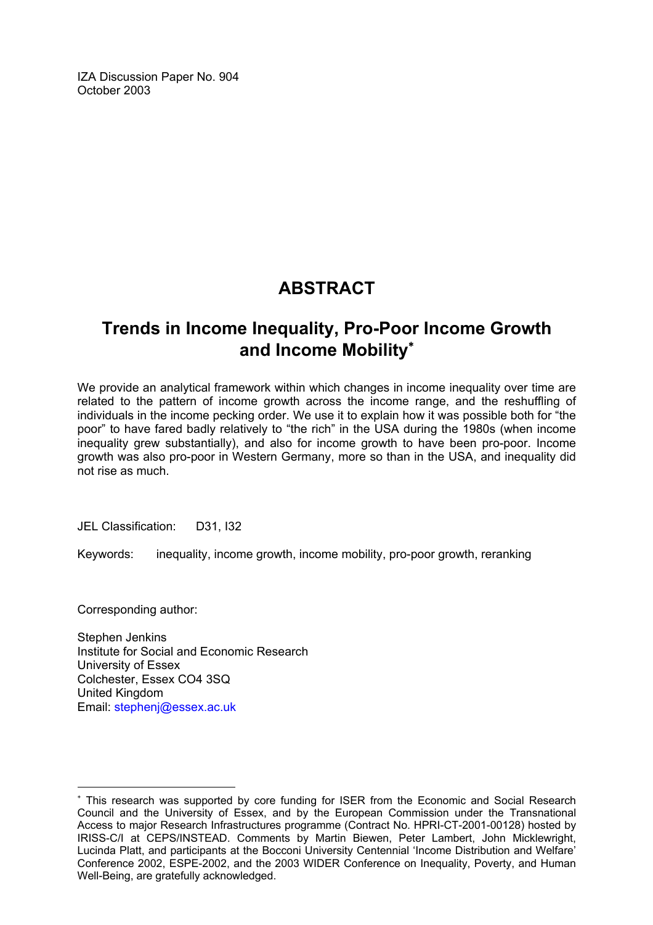IZA Discussion Paper No. 904 October 2003

### **ABSTRACT**

### **Trends in Income Inequality, Pro-Poor Income Growth and Income Mobility**[∗](#page-2-0)

We provide an analytical framework within which changes in income inequality over time are related to the pattern of income growth across the income range, and the reshuffling of individuals in the income pecking order. We use it to explain how it was possible both for "the poor" to have fared badly relatively to "the rich" in the USA during the 1980s (when income inequality grew substantially), and also for income growth to have been pro-poor. Income growth was also pro-poor in Western Germany, more so than in the USA, and inequality did not rise as much.

JEL Classification: D31, I32

Keywords: inequality, income growth, income mobility, pro-poor growth, reranking

Corresponding author:

 $\overline{a}$ 

Stephen Jenkins Institute for Social and Economic Research University of Essex Colchester, Essex CO4 3SQ United Kingdom Email: [stephenj@essex.ac.uk](mailto:stephenj@essex.ac.uk)

<span id="page-2-0"></span><sup>∗</sup> This research was supported by core funding for ISER from the Economic and Social Research Council and the University of Essex, and by the European Commission under the Transnational Access to major Research Infrastructures programme (Contract No. HPRI-CT-2001-00128) hosted by IRISS-C/I at CEPS/INSTEAD. Comments by Martin Biewen, Peter Lambert, John Micklewright, Lucinda Platt, and participants at the Bocconi University Centennial 'Income Distribution and Welfare' Conference 2002, ESPE-2002, and the 2003 WIDER Conference on Inequality, Poverty, and Human Well-Being, are gratefully acknowledged.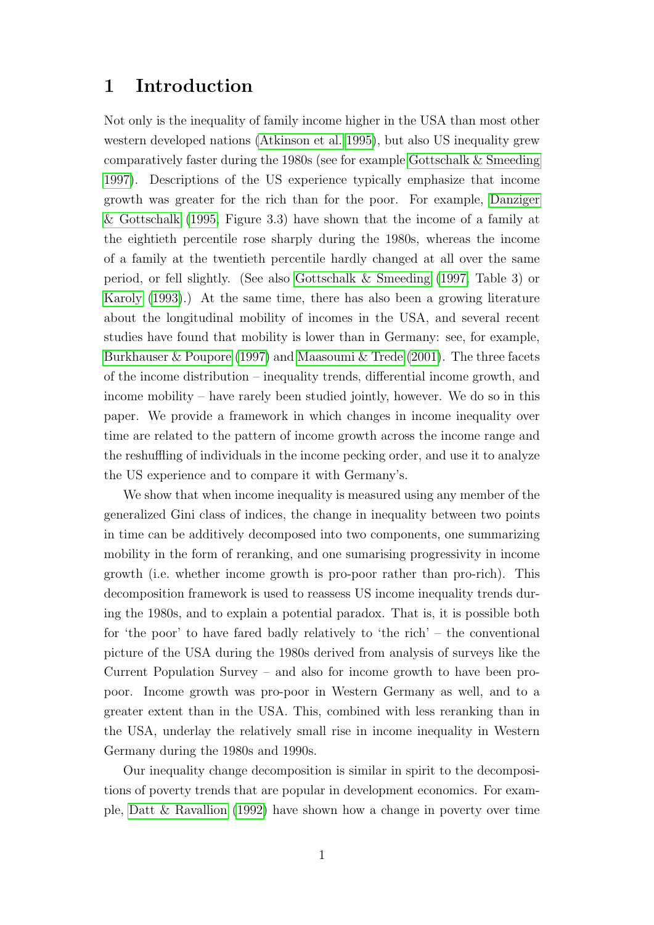#### 1 Introduction

Not only is the inequality of family income higher in the USA than most other western developed nations [\(Atkinson et al. 1995\)](#page-17-0), but also US inequality grew comparatively faster during the 1980s (see for example [Gottschalk & Smeeding](#page-18-0) [1997\)](#page-18-0). Descriptions of the US experience typically emphasize that income growth was greater for the rich than for the poor. For example, [Danziger](#page-18-1) [& Gottschalk](#page-18-1) [\(1995,](#page-18-1) Figure 3.3) have shown that the income of a family at the eightieth percentile rose sharply during the 1980s, whereas the income of a family at the twentieth percentile hardly changed at all over the same period, or fell slightly. (See also [Gottschalk & Smeeding](#page-18-0) [\(1997,](#page-18-0) Table 3) or [Karoly](#page-19-0) [\(1993\)](#page-19-0).) At the same time, there has also been a growing literature about the longitudinal mobility of incomes in the USA, and several recent studies have found that mobility is lower than in Germany: see, for example, [Burkhauser & Poupore](#page-18-2) [\(1997\)](#page-18-2) and [Maasoumi & Trede](#page-19-1) [\(2001\)](#page-19-1). The three facets of the income distribution – inequality trends, differential income growth, and income mobility – have rarely been studied jointly, however. We do so in this paper. We provide a framework in which changes in income inequality over time are related to the pattern of income growth across the income range and the reshuffling of individuals in the income pecking order, and use it to analyze the US experience and to compare it with Germany's.

We show that when income inequality is measured using any member of the generalized Gini class of indices, the change in inequality between two points in time can be additively decomposed into two components, one summarizing mobility in the form of reranking, and one sumarising progressivity in income growth (i.e. whether income growth is pro-poor rather than pro-rich). This decomposition framework is used to reassess US income inequality trends during the 1980s, and to explain a potential paradox. That is, it is possible both for 'the poor' to have fared badly relatively to 'the rich' – the conventional picture of the USA during the 1980s derived from analysis of surveys like the Current Population Survey – and also for income growth to have been propoor. Income growth was pro-poor in Western Germany as well, and to a greater extent than in the USA. This, combined with less reranking than in the USA, underlay the relatively small rise in income inequality in Western Germany during the 1980s and 1990s.

Our inequality change decomposition is similar in spirit to the decompositions of poverty trends that are popular in development economics. For example, [Datt & Ravallion](#page-18-3) [\(1992\)](#page-18-3) have shown how a change in poverty over time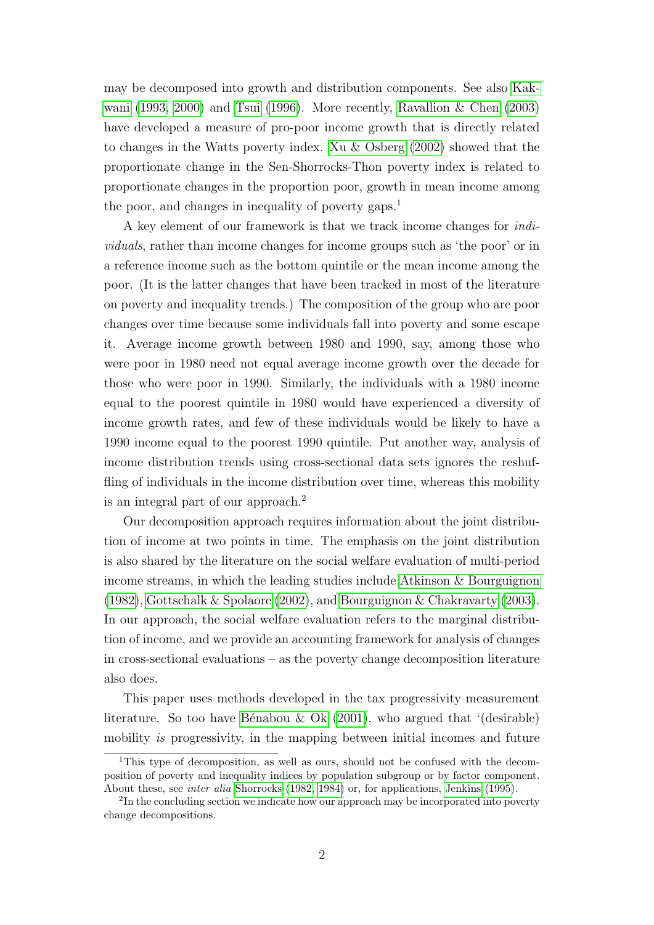may be decomposed into growth and distribution components. See also [Kak](#page-19-2)[wani](#page-19-2) [\(1993,](#page-19-2) [2000\)](#page-19-3) and [Tsui](#page-20-0) [\(1996\)](#page-20-0). More recently, [Ravallion & Chen](#page-19-4) [\(2003\)](#page-19-4) have developed a measure of pro-poor income growth that is directly related to changes in the Watts poverty index. [Xu & Osberg](#page-20-1) [\(2002\)](#page-20-1) showed that the proportionate change in the Sen-Shorrocks-Thon poverty index is related to proportionate changes in the proportion poor, growth in mean income among the poor, and changes in inequality of poverty gaps.<sup>1</sup>

A key element of our framework is that we track income changes for individuals, rather than income changes for income groups such as 'the poor' or in a reference income such as the bottom quintile or the mean income among the poor. (It is the latter changes that have been tracked in most of the literature on poverty and inequality trends.) The composition of the group who are poor changes over time because some individuals fall into poverty and some escape it. Average income growth between 1980 and 1990, say, among those who were poor in 1980 need not equal average income growth over the decade for those who were poor in 1990. Similarly, the individuals with a 1980 income equal to the poorest quintile in 1980 would have experienced a diversity of income growth rates, and few of these individuals would be likely to have a 1990 income equal to the poorest 1990 quintile. Put another way, analysis of income distribution trends using cross-sectional data sets ignores the reshuffling of individuals in the income distribution over time, whereas this mobility is an integral part of our approach.<sup>2</sup>

Our decomposition approach requires information about the joint distribution of income at two points in time. The emphasis on the joint distribution is also shared by the literature on the social welfare evaluation of multi-period income streams, in which the leading studies include [Atkinson & Bourguignon](#page-17-1) [\(1982\)](#page-17-1), [Gottschalk & Spolaore](#page-18-4) [\(2002\)](#page-18-4), and [Bourguignon & Chakravarty](#page-17-2) [\(2003\)](#page-17-2). In our approach, the social welfare evaluation refers to the marginal distribution of income, and we provide an accounting framework for analysis of changes in cross-sectional evaluations – as the poverty change decomposition literature also does.

This paper uses methods developed in the tax progressivity measurement literature. So too have Bénabou & Ok [\(2001\)](#page-17-3), who argued that '(desirable) mobility is progressivity, in the mapping between initial incomes and future

<sup>&</sup>lt;sup>1</sup>This type of decomposition, as well as ours, should not be confused with the decomposition of poverty and inequality indices by population subgroup or by factor component. About these, see inter alia [Shorrocks](#page-20-2) [\(1982,](#page-20-2) [1984\)](#page-20-3) or, for applications, [Jenkins](#page-19-5) [\(1995\)](#page-19-5).

<sup>&</sup>lt;sup>2</sup>In the concluding section we indicate how our approach may be incorporated into poverty change decompositions.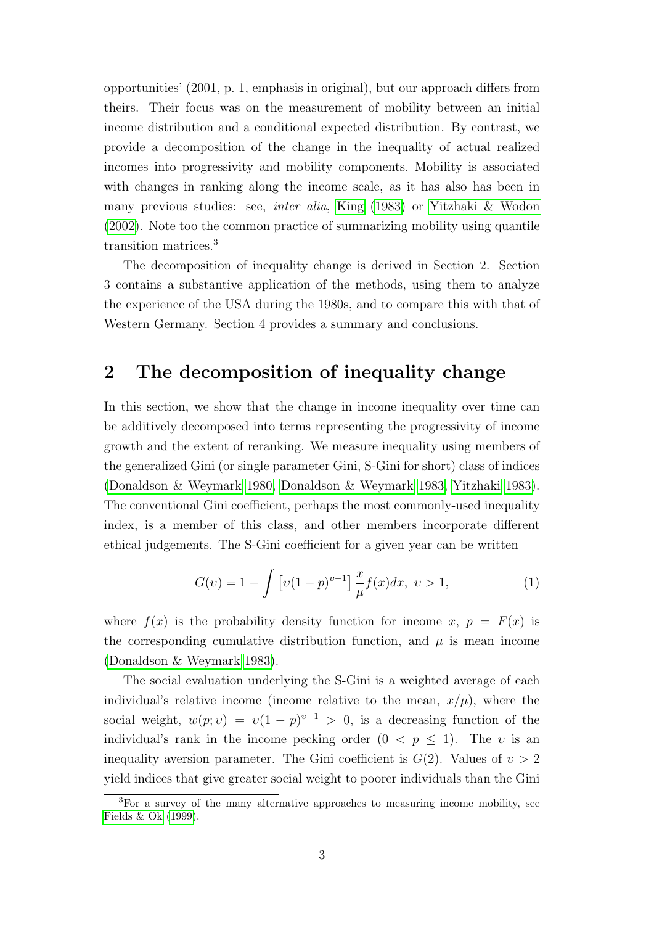opportunities' (2001, p. 1, emphasis in original), but our approach differs from theirs. Their focus was on the measurement of mobility between an initial income distribution and a conditional expected distribution. By contrast, we provide a decomposition of the change in the inequality of actual realized incomes into progressivity and mobility components. Mobility is associated with changes in ranking along the income scale, as it has also has been in many previous studies: see, inter alia, [King](#page-19-6) [\(1983\)](#page-19-6) or [Yitzhaki & Wodon](#page-20-4) [\(2002\)](#page-20-4). Note too the common practice of summarizing mobility using quantile transition matrices.<sup>3</sup>

The decomposition of inequality change is derived in Section 2. Section 3 contains a substantive application of the methods, using them to analyze the experience of the USA during the 1980s, and to compare this with that of Western Germany. Section 4 provides a summary and conclusions.

#### 2 The decomposition of inequality change

In this section, we show that the change in income inequality over time can be additively decomposed into terms representing the progressivity of income growth and the extent of reranking. We measure inequality using members of the generalized Gini (or single parameter Gini, S-Gini for short) class of indices [\(Donaldson & Weymark 1980,](#page-18-5) [Donaldson & Weymark 1983,](#page-18-6) [Yitzhaki 1983\)](#page-20-5). The conventional Gini coefficient, perhaps the most commonly-used inequality index, is a member of this class, and other members incorporate different ethical judgements. The S-Gini coefficient for a given year can be written

$$
G(v) = 1 - \int \left[ v(1-p)^{v-1} \right] \frac{x}{\mu} f(x) dx, \ v > 1,
$$
 (1)

where  $f(x)$  is the probability density function for income x,  $p = F(x)$  is the corresponding cumulative distribution function, and  $\mu$  is mean income [\(Donaldson & Weymark 1983\)](#page-18-6).

The social evaluation underlying the S-Gini is a weighted average of each individual's relative income (income relative to the mean,  $x/\mu$ ), where the social weight,  $w(p; v) = v(1-p)^{v-1} > 0$ , is a decreasing function of the individual's rank in the income pecking order  $(0 < p \le 1)$ . The v is an inequality aversion parameter. The Gini coefficient is  $G(2)$ . Values of  $v > 2$ yield indices that give greater social weight to poorer individuals than the Gini

<sup>&</sup>lt;sup>3</sup>For a survey of the many alternative approaches to measuring income mobility, see [Fields & Ok](#page-18-7) [\(1999\)](#page-18-7).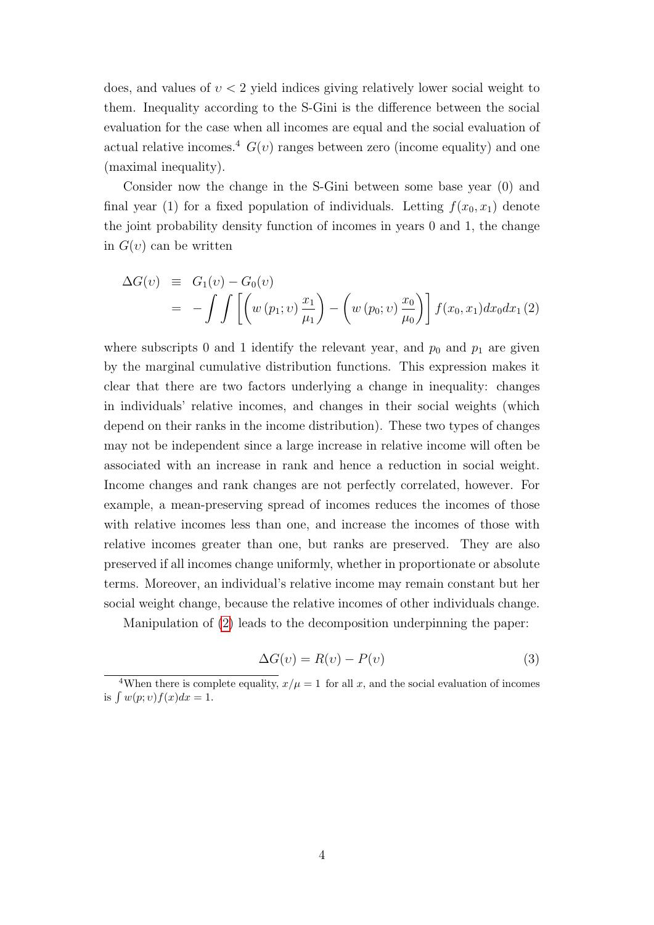does, and values of  $v < 2$  yield indices giving relatively lower social weight to them. Inequality according to the S-Gini is the difference between the social evaluation for the case when all incomes are equal and the social evaluation of actual relative incomes.<sup>4</sup>  $G(v)$  ranges between zero (income equality) and one (maximal inequality).

Consider now the change in the S-Gini between some base year (0) and final year (1) for a fixed population of individuals. Letting  $f(x_0, x_1)$  denote the joint probability density function of incomes in years 0 and 1, the change in  $G(v)$  can be written

<span id="page-6-0"></span>
$$
\Delta G(v) \equiv G_1(v) - G_0(v) \n= - \int \int \left[ \left( w (p_1; v) \frac{x_1}{\mu_1} \right) - \left( w (p_0; v) \frac{x_0}{\mu_0} \right) \right] f(x_0, x_1) dx_0 dx_1 (2)
$$

where subscripts 0 and 1 identify the relevant year, and  $p_0$  and  $p_1$  are given by the marginal cumulative distribution functions. This expression makes it clear that there are two factors underlying a change in inequality: changes in individuals' relative incomes, and changes in their social weights (which depend on their ranks in the income distribution). These two types of changes may not be independent since a large increase in relative income will often be associated with an increase in rank and hence a reduction in social weight. Income changes and rank changes are not perfectly correlated, however. For example, a mean-preserving spread of incomes reduces the incomes of those with relative incomes less than one, and increase the incomes of those with relative incomes greater than one, but ranks are preserved. They are also preserved if all incomes change uniformly, whether in proportionate or absolute terms. Moreover, an individual's relative income may remain constant but her social weight change, because the relative incomes of other individuals change.

Manipulation of [\(2\)](#page-6-0) leads to the decomposition underpinning the paper:

<span id="page-6-1"></span>
$$
\Delta G(v) = R(v) - P(v) \tag{3}
$$

<sup>&</sup>lt;sup>4</sup>When there is complete equality,  $x/\mu = 1$  for all x, and the social evaluation of incomes is  $\int w(p; v) f(x) dx = 1$ .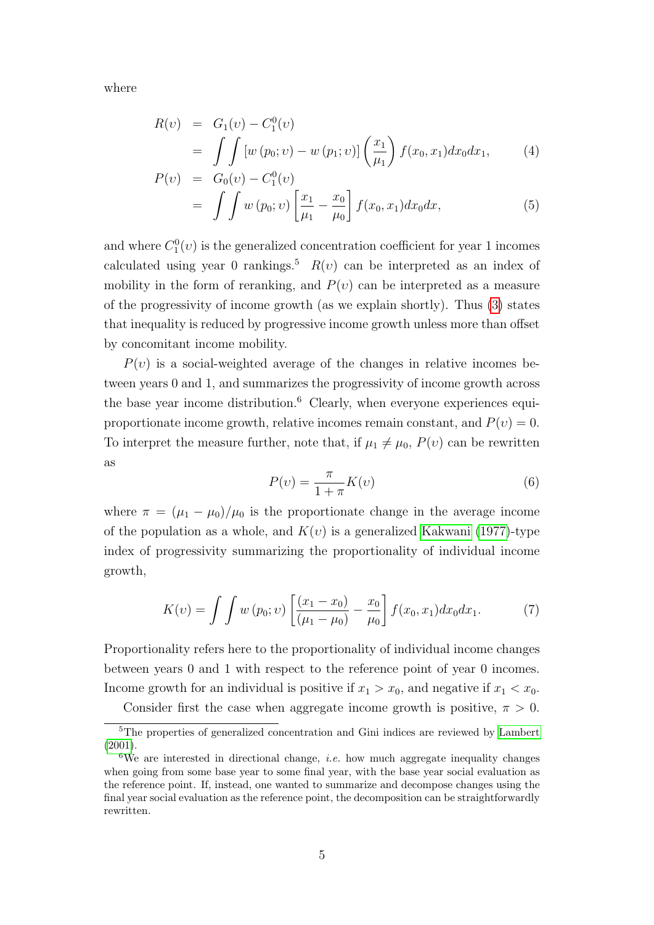where

$$
R(v) = G_1(v) - C_1^0(v)
$$
  
= 
$$
\int \int [w (p_0; v) - w (p_1; v)] \left(\frac{x_1}{\mu_1}\right) f(x_0, x_1) dx_0 dx_1,
$$
 (4)

$$
P(v) = G_0(v) - C_1^0(v)
$$
  
= 
$$
\int \int w (p_0; v) \left[ \frac{x_1}{\mu_1} - \frac{x_0}{\mu_0} \right] f(x_0, x_1) dx_0 dx,
$$
 (5)

and where  $C_1^0(v)$  is the generalized concentration coefficient for year 1 incomes calculated using year 0 rankings.<sup>5</sup>  $R(v)$  can be interpreted as an index of mobility in the form of reranking, and  $P(v)$  can be interpreted as a measure of the progressivity of income growth (as we explain shortly). Thus [\(3\)](#page-6-1) states that inequality is reduced by progressive income growth unless more than offset by concomitant income mobility.

 $P(v)$  is a social-weighted average of the changes in relative incomes between years 0 and 1, and summarizes the progressivity of income growth across the base year income distribution.<sup>6</sup> Clearly, when everyone experiences equiproportionate income growth, relative incomes remain constant, and  $P(v) = 0$ . To interpret the measure further, note that, if  $\mu_1 \neq \mu_0$ ,  $P(v)$  can be rewritten as

$$
P(v) = \frac{\pi}{1 + \pi} K(v)
$$
\n<sup>(6)</sup>

where  $\pi = (\mu_1 - \mu_0)/\mu_0$  is the proportionate change in the average income of the population as a whole, and  $K(v)$  is a generalized [Kakwani](#page-19-7) [\(1977\)](#page-19-7)-type index of progressivity summarizing the proportionality of individual income growth,

$$
K(v) = \int \int w(p_0; v) \left[ \frac{(x_1 - x_0)}{(\mu_1 - \mu_0)} - \frac{x_0}{\mu_0} \right] f(x_0, x_1) dx_0 dx_1.
$$
 (7)

Proportionality refers here to the proportionality of individual income changes between years 0 and 1 with respect to the reference point of year 0 incomes. Income growth for an individual is positive if  $x_1 > x_0$ , and negative if  $x_1 < x_0$ .

Consider first the case when aggregate income growth is positive,  $\pi > 0$ .

<sup>5</sup>The properties of generalized concentration and Gini indices are reviewed by [Lambert](#page-19-8) [\(2001\)](#page-19-8).

<sup>&</sup>lt;sup>6</sup>We are interested in directional change, *i.e.* how much aggregate inequality changes when going from some base year to some final year, with the base year social evaluation as the reference point. If, instead, one wanted to summarize and decompose changes using the final year social evaluation as the reference point, the decomposition can be straightforwardly rewritten.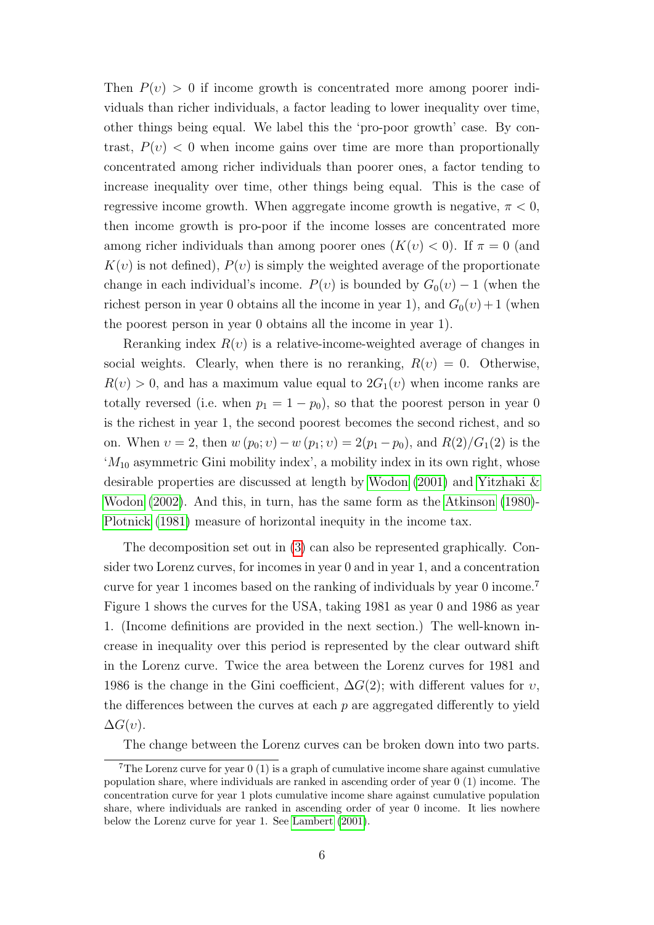Then  $P(v) > 0$  if income growth is concentrated more among poorer individuals than richer individuals, a factor leading to lower inequality over time, other things being equal. We label this the 'pro-poor growth' case. By contrast,  $P(v) < 0$  when income gains over time are more than proportionally concentrated among richer individuals than poorer ones, a factor tending to increase inequality over time, other things being equal. This is the case of regressive income growth. When aggregate income growth is negative,  $\pi < 0$ , then income growth is pro-poor if the income losses are concentrated more among richer individuals than among poorer ones  $(K(v) < 0)$ . If  $\pi = 0$  (and  $K(v)$  is not defined),  $P(v)$  is simply the weighted average of the proportionate change in each individual's income.  $P(v)$  is bounded by  $G_0(v) - 1$  (when the richest person in year 0 obtains all the income in year 1), and  $G_0(v) + 1$  (when the poorest person in year 0 obtains all the income in year 1).

Reranking index  $R(v)$  is a relative-income-weighted average of changes in social weights. Clearly, when there is no reranking,  $R(v) = 0$ . Otherwise,  $R(v) > 0$ , and has a maximum value equal to  $2G_1(v)$  when income ranks are totally reversed (i.e. when  $p_1 = 1 - p_0$ ), so that the poorest person in year 0 is the richest in year 1, the second poorest becomes the second richest, and so on. When  $v = 2$ , then  $w(p_0; v) - w(p_1; v) = 2(p_1 - p_0)$ , and  $R(2)/G_1(2)$  is the  $M_{10}$  asymmetric Gini mobility index', a mobility index in its own right, whose desirable properties are discussed at length by [Wodon](#page-20-6) [\(2001\)](#page-20-6) and [Yitzhaki &](#page-20-4) [Wodon](#page-20-4) [\(2002\)](#page-20-4). And this, in turn, has the same form as the [Atkinson](#page-17-4) [\(1980\)](#page-17-4)- [Plotnick](#page-19-9) [\(1981\)](#page-19-9) measure of horizontal inequity in the income tax.

The decomposition set out in [\(3\)](#page-6-1) can also be represented graphically. Consider two Lorenz curves, for incomes in year 0 and in year 1, and a concentration curve for year 1 incomes based on the ranking of individuals by year 0 income.<sup>7</sup> Figure 1 shows the curves for the USA, taking 1981 as year 0 and 1986 as year 1. (Income definitions are provided in the next section.) The well-known increase in inequality over this period is represented by the clear outward shift in the Lorenz curve. Twice the area between the Lorenz curves for 1981 and 1986 is the change in the Gini coefficient,  $\Delta G(2)$ ; with different values for  $v$ , the differences between the curves at each  $p$  are aggregated differently to yield  $\Delta G(v)$ .

The change between the Lorenz curves can be broken down into two parts.

<sup>&</sup>lt;sup>7</sup>The Lorenz curve for year  $0(1)$  is a graph of cumulative income share against cumulative population share, where individuals are ranked in ascending order of year 0 (1) income. The concentration curve for year 1 plots cumulative income share against cumulative population share, where individuals are ranked in ascending order of year 0 income. It lies nowhere below the Lorenz curve for year 1. See [Lambert](#page-19-8) [\(2001\)](#page-19-8).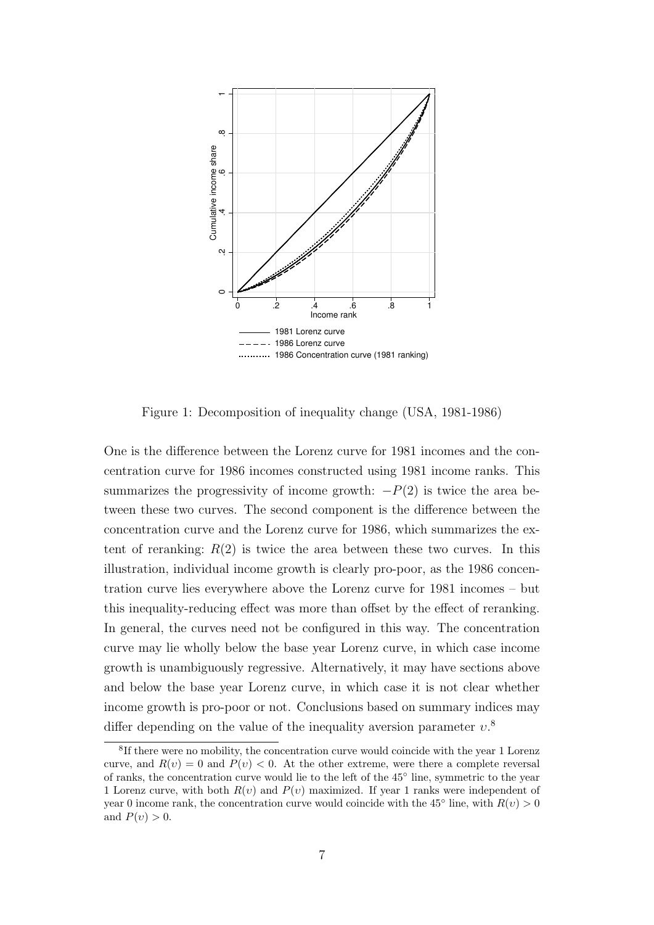

Figure 1: Decomposition of inequality change (USA, 1981-1986)

One is the difference between the Lorenz curve for 1981 incomes and the concentration curve for 1986 incomes constructed using 1981 income ranks. This summarizes the progressivity of income growth:  $-P(2)$  is twice the area between these two curves. The second component is the difference between the concentration curve and the Lorenz curve for 1986, which summarizes the extent of reranking:  $R(2)$  is twice the area between these two curves. In this illustration, individual income growth is clearly pro-poor, as the 1986 concentration curve lies everywhere above the Lorenz curve for 1981 incomes – but this inequality-reducing effect was more than offset by the effect of reranking. In general, the curves need not be configured in this way. The concentration curve may lie wholly below the base year Lorenz curve, in which case income growth is unambiguously regressive. Alternatively, it may have sections above and below the base year Lorenz curve, in which case it is not clear whether income growth is pro-poor or not. Conclusions based on summary indices may differ depending on the value of the inequality aversion parameter  $v$ <sup>8</sup>

<sup>&</sup>lt;sup>8</sup>If there were no mobility, the concentration curve would coincide with the year 1 Lorenz curve, and  $R(v) = 0$  and  $P(v) < 0$ . At the other extreme, were there a complete reversal of ranks, the concentration curve would lie to the left of the 45° line, symmetric to the year 1 Lorenz curve, with both  $R(v)$  and  $P(v)$  maximized. If year 1 ranks were independent of year 0 income rank, the concentration curve would coincide with the 45<sup>°</sup> line, with  $R(v) > 0$ and  $P(v) > 0$ .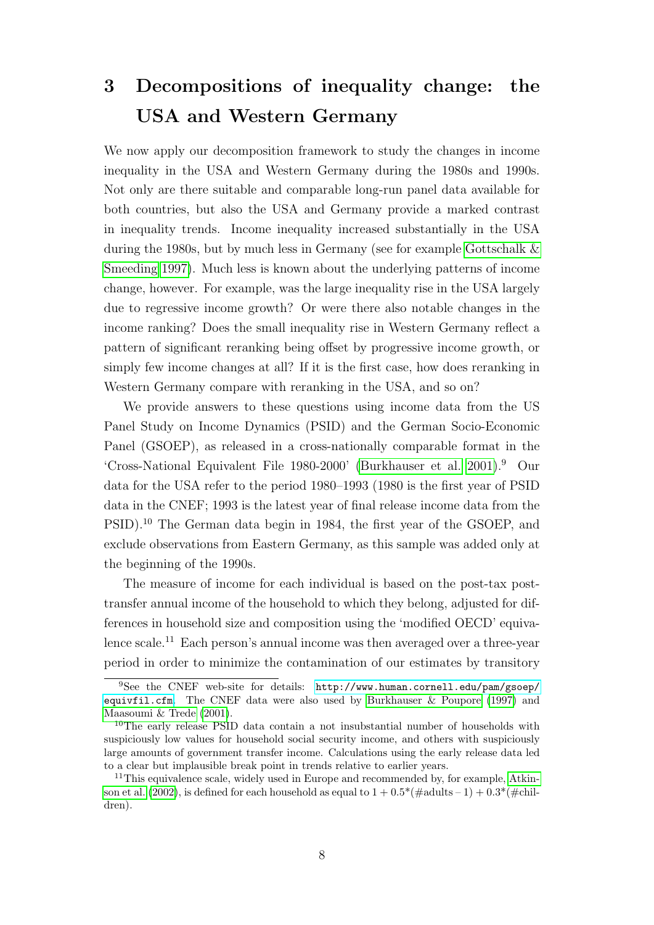## 3 Decompositions of inequality change: the USA and Western Germany

We now apply our decomposition framework to study the changes in income inequality in the USA and Western Germany during the 1980s and 1990s. Not only are there suitable and comparable long-run panel data available for both countries, but also the USA and Germany provide a marked contrast in inequality trends. Income inequality increased substantially in the USA during the 1980s, but by much less in Germany (see for example [Gottschalk &](#page-18-0) [Smeeding 1997\)](#page-18-0). Much less is known about the underlying patterns of income change, however. For example, was the large inequality rise in the USA largely due to regressive income growth? Or were there also notable changes in the income ranking? Does the small inequality rise in Western Germany reflect a pattern of significant reranking being offset by progressive income growth, or simply few income changes at all? If it is the first case, how does reranking in Western Germany compare with reranking in the USA, and so on?

We provide answers to these questions using income data from the US Panel Study on Income Dynamics (PSID) and the German Socio-Economic Panel (GSOEP), as released in a cross-nationally comparable format in the 'Cross-National Equivalent File 1980-2000' [\(Burkhauser et al. 2001\)](#page-17-5).<sup>9</sup> Our data for the USA refer to the period 1980–1993 (1980 is the first year of PSID data in the CNEF; 1993 is the latest year of final release income data from the PSID).<sup>10</sup> The German data begin in 1984, the first year of the GSOEP, and exclude observations from Eastern Germany, as this sample was added only at the beginning of the 1990s.

The measure of income for each individual is based on the post-tax posttransfer annual income of the household to which they belong, adjusted for differences in household size and composition using the 'modified OECD' equivalence scale.<sup>11</sup> Each person's annual income was then averaged over a three-year period in order to minimize the contamination of our estimates by transitory

<sup>9</sup>See the CNEF web-site for details: [http://www.human.cornell.edu/pam/gsoep/](http://www.human.cornell.edu/pam/gsoep/equivfil.cfm) [equivfil.cfm](http://www.human.cornell.edu/pam/gsoep/equivfil.cfm). The CNEF data were also used by [Burkhauser & Poupore](#page-18-2) [\(1997\)](#page-18-2) and [Maasoumi & Trede](#page-19-1) [\(2001\)](#page-19-1).

<sup>10</sup>The early release PSID data contain a not insubstantial number of households with suspiciously low values for household social security income, and others with suspiciously large amounts of government transfer income. Calculations using the early release data led to a clear but implausible break point in trends relative to earlier years.

<sup>&</sup>lt;sup>11</sup>This equivalence scale, widely used in Europe and recommended by, for example, [Atkin](#page-17-6)[son et al.](#page-17-6) [\(2002\)](#page-17-6), is defined for each household as equal to  $1 + 0.5^*$  (#adults – 1) +  $0.3^*$  (#children).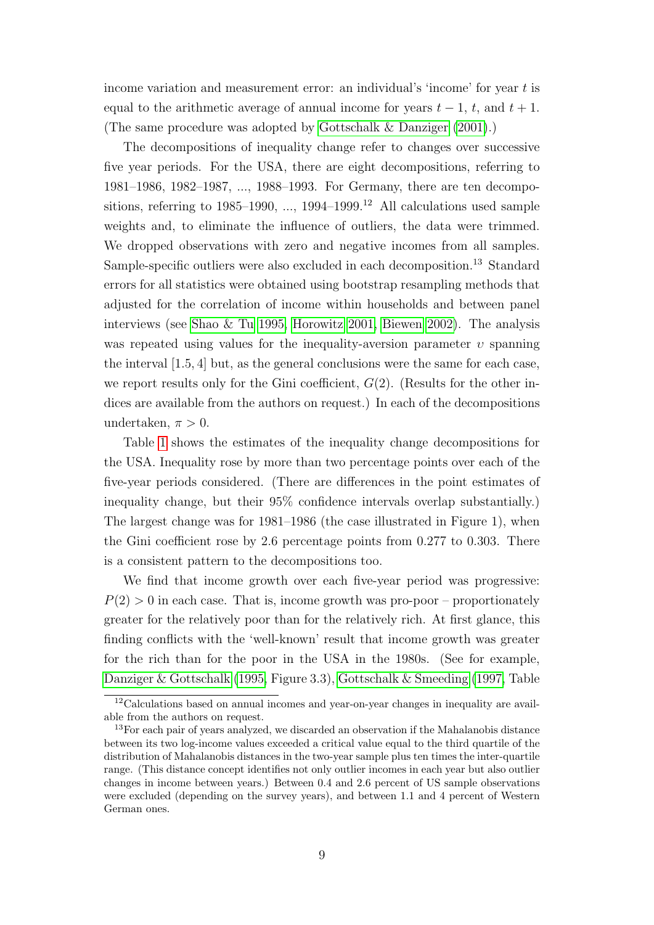income variation and measurement error: an individual's 'income' for year t is equal to the arithmetic average of annual income for years  $t-1$ , t, and  $t+1$ . (The same procedure was adopted by [Gottschalk & Danziger](#page-18-8) [\(2001\)](#page-18-8).)

The decompositions of inequality change refer to changes over successive five year periods. For the USA, there are eight decompositions, referring to 1981–1986, 1982–1987, ..., 1988–1993. For Germany, there are ten decompositions, referring to  $1985-1990, \ldots, 1994-1999$ <sup>12</sup> All calculations used sample weights and, to eliminate the influence of outliers, the data were trimmed. We dropped observations with zero and negative incomes from all samples. Sample-specific outliers were also excluded in each decomposition.<sup>13</sup> Standard errors for all statistics were obtained using bootstrap resampling methods that adjusted for the correlation of income within households and between panel interviews (see [Shao & Tu 1995,](#page-20-7) [Horowitz 2001,](#page-19-10) [Biewen 2002\)](#page-17-7). The analysis was repeated using values for the inequality-aversion parameter  $v$  spanning the interval [1.5, 4] but, as the general conclusions were the same for each case, we report results only for the Gini coefficient,  $G(2)$ . (Results for the other indices are available from the authors on request.) In each of the decompositions undertaken,  $\pi > 0$ .

Table [1](#page-12-0) shows the estimates of the inequality change decompositions for the USA. Inequality rose by more than two percentage points over each of the five-year periods considered. (There are differences in the point estimates of inequality change, but their 95% confidence intervals overlap substantially.) The largest change was for 1981–1986 (the case illustrated in Figure 1), when the Gini coefficient rose by 2.6 percentage points from 0.277 to 0.303. There is a consistent pattern to the decompositions too.

We find that income growth over each five-year period was progressive:  $P(2) > 0$  in each case. That is, income growth was pro-poor – proportionately greater for the relatively poor than for the relatively rich. At first glance, this finding conflicts with the 'well-known' result that income growth was greater for the rich than for the poor in the USA in the 1980s. (See for example, [Danziger & Gottschalk](#page-18-1) [\(1995,](#page-18-1) Figure 3.3), [Gottschalk & Smeeding](#page-18-0) [\(1997,](#page-18-0) Table

<sup>12</sup>Calculations based on annual incomes and year-on-year changes in inequality are available from the authors on request.

<sup>&</sup>lt;sup>13</sup>For each pair of years analyzed, we discarded an observation if the Mahalanobis distance between its two log-income values exceeded a critical value equal to the third quartile of the distribution of Mahalanobis distances in the two-year sample plus ten times the inter-quartile range. (This distance concept identifies not only outlier incomes in each year but also outlier changes in income between years.) Between 0.4 and 2.6 percent of US sample observations were excluded (depending on the survey years), and between 1.1 and 4 percent of Western German ones.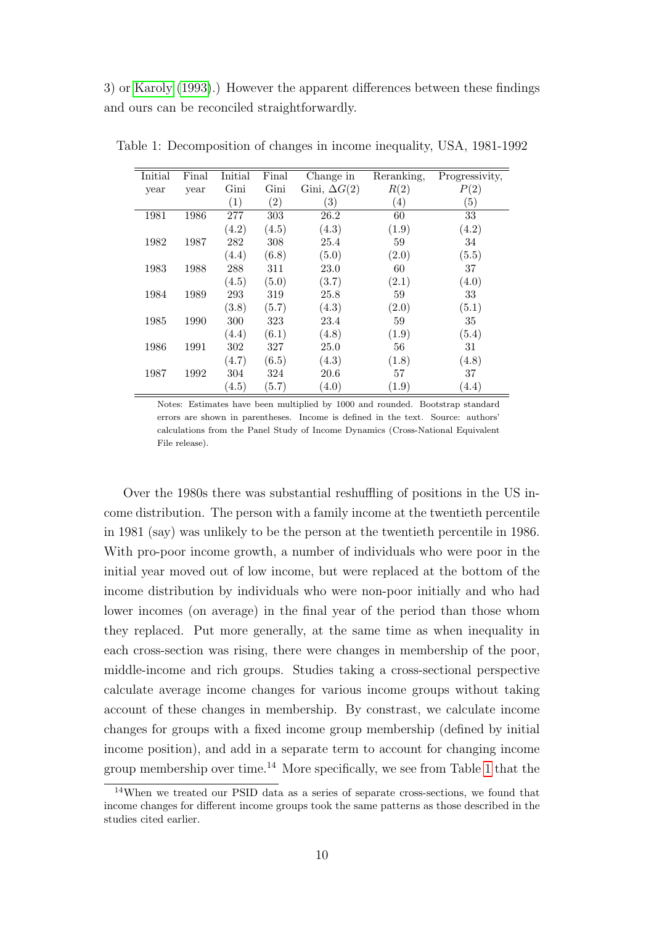3) or [Karoly](#page-19-0) [\(1993\)](#page-19-0).) However the apparent differences between these findings and ours can be reconciled straightforwardly.

<span id="page-12-0"></span>

| Initial | Final | Initial | Final             | Change in           | Reranking, | Progressivity, |
|---------|-------|---------|-------------------|---------------------|------------|----------------|
| year    | year  | Gini    | Gini              | Gini, $\Delta G(2)$ | R(2)       | P(2)           |
|         |       | (1)     | $\left( 2\right)$ | $\left( 3\right)$   | (4)        | (5)            |
| 1981    | 1986  | 277     | 303               | 26.2                | 60         | 33             |
|         |       | (4.2)   | (4.5)             | (4.3)               | (1.9)      | (4.2)          |
| 1982    | 1987  | 282     | 308               | 25.4                | 59         | 34             |
|         |       | (4.4)   | (6.8)             | (5.0)               | (2.0)      | (5.5)          |
| 1983    | 1988  | 288     | 311               | 23.0                | 60         | 37             |
|         |       | (4.5)   | (5.0)             | (3.7)               | (2.1)      | (4.0)          |
| 1984    | 1989  | 293     | 319               | 25.8                | 59         | 33             |
|         |       | (3.8)   | (5.7)             | (4.3)               | (2.0)      | (5.1)          |
| 1985    | 1990  | 300     | 323               | 23.4                | 59         | 35             |
|         |       | (4.4)   | (6.1)             | (4.8)               | (1.9)      | (5.4)          |
| 1986    | 1991  | 302     | 327               | 25.0                | 56         | 31             |
|         |       | (4.7)   | (6.5)             | (4.3)               | (1.8)      | (4.8)          |
| 1987    | 1992  | 304     | 324               | 20.6                | 57         | 37             |
|         |       | (4.5)   | (5.7)             | (4.0)               | (1.9)      | (4.4)          |

Table 1: Decomposition of changes in income inequality, USA, 1981-1992

Notes: Estimates have been multiplied by 1000 and rounded. Bootstrap standard errors are shown in parentheses. Income is defined in the text. Source: authors' calculations from the Panel Study of Income Dynamics (Cross-National Equivalent File release).

Over the 1980s there was substantial reshuffling of positions in the US income distribution. The person with a family income at the twentieth percentile in 1981 (say) was unlikely to be the person at the twentieth percentile in 1986. With pro-poor income growth, a number of individuals who were poor in the initial year moved out of low income, but were replaced at the bottom of the income distribution by individuals who were non-poor initially and who had lower incomes (on average) in the final year of the period than those whom they replaced. Put more generally, at the same time as when inequality in each cross-section was rising, there were changes in membership of the poor, middle-income and rich groups. Studies taking a cross-sectional perspective calculate average income changes for various income groups without taking account of these changes in membership. By constrast, we calculate income changes for groups with a fixed income group membership (defined by initial income position), and add in a separate term to account for changing income group membership over time.<sup>14</sup> More specifically, we see from Table [1](#page-12-0) that the

<sup>14</sup>When we treated our PSID data as a series of separate cross-sections, we found that income changes for different income groups took the same patterns as those described in the studies cited earlier.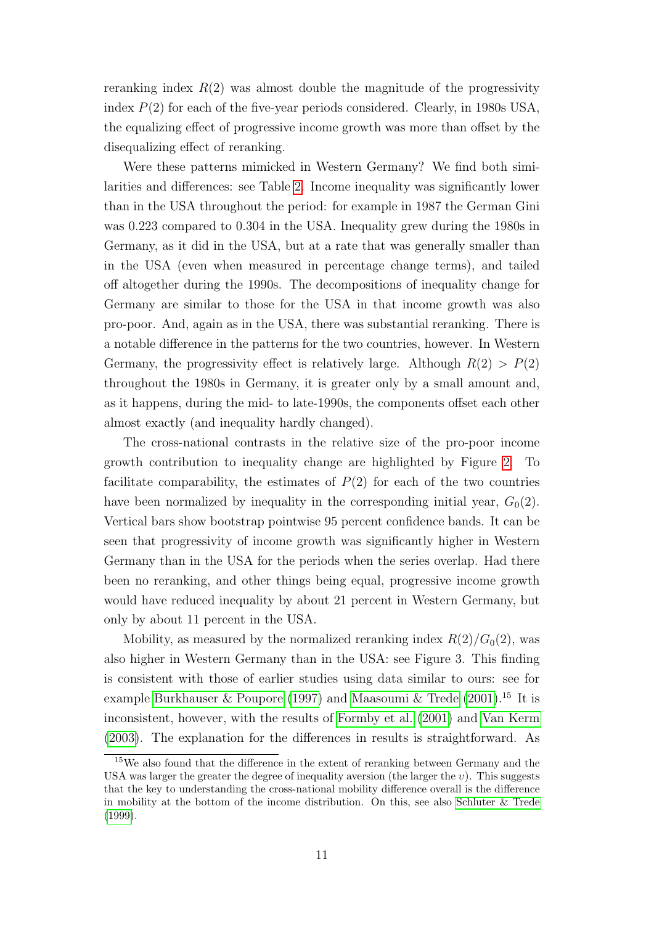reranking index  $R(2)$  was almost double the magnitude of the progressivity index  $P(2)$  for each of the five-year periods considered. Clearly, in 1980s USA, the equalizing effect of progressive income growth was more than offset by the disequalizing effect of reranking.

Were these patterns mimicked in Western Germany? We find both similarities and differences: see Table [2.](#page-14-0) Income inequality was significantly lower than in the USA throughout the period: for example in 1987 the German Gini was 0.223 compared to 0.304 in the USA. Inequality grew during the 1980s in Germany, as it did in the USA, but at a rate that was generally smaller than in the USA (even when measured in percentage change terms), and tailed off altogether during the 1990s. The decompositions of inequality change for Germany are similar to those for the USA in that income growth was also pro-poor. And, again as in the USA, there was substantial reranking. There is a notable difference in the patterns for the two countries, however. In Western Germany, the progressivity effect is relatively large. Although  $R(2) > P(2)$ throughout the 1980s in Germany, it is greater only by a small amount and, as it happens, during the mid- to late-1990s, the components offset each other almost exactly (and inequality hardly changed).

The cross-national contrasts in the relative size of the pro-poor income growth contribution to inequality change are highlighted by Figure [2.](#page-14-0) To facilitate comparability, the estimates of  $P(2)$  for each of the two countries have been normalized by inequality in the corresponding initial year,  $G_0(2)$ . Vertical bars show bootstrap pointwise 95 percent confidence bands. It can be seen that progressivity of income growth was significantly higher in Western Germany than in the USA for the periods when the series overlap. Had there been no reranking, and other things being equal, progressive income growth would have reduced inequality by about 21 percent in Western Germany, but only by about 11 percent in the USA.

Mobility, as measured by the normalized reranking index  $R(2)/G_0(2)$ , was also higher in Western Germany than in the USA: see Figure 3. This finding is consistent with those of earlier studies using data similar to ours: see for example [Burkhauser & Poupore](#page-18-2) [\(1997\)](#page-18-2) and [Maasoumi & Trede](#page-19-1)  $(2001).^{15}$  $(2001).^{15}$  It is inconsistent, however, with the results of [Formby et al.](#page-18-9) [\(2001\)](#page-18-9) and [Van Kerm](#page-20-8) [\(2003\)](#page-20-8). The explanation for the differences in results is straightforward. As

<sup>15</sup>We also found that the difference in the extent of reranking between Germany and the USA was larger the greater the degree of inequality aversion (the larger the  $v$ ). This suggests that the key to understanding the cross-national mobility difference overall is the difference in mobility at the bottom of the income distribution. On this, see also [Schluter & Trede](#page-19-11) [\(1999\)](#page-19-11).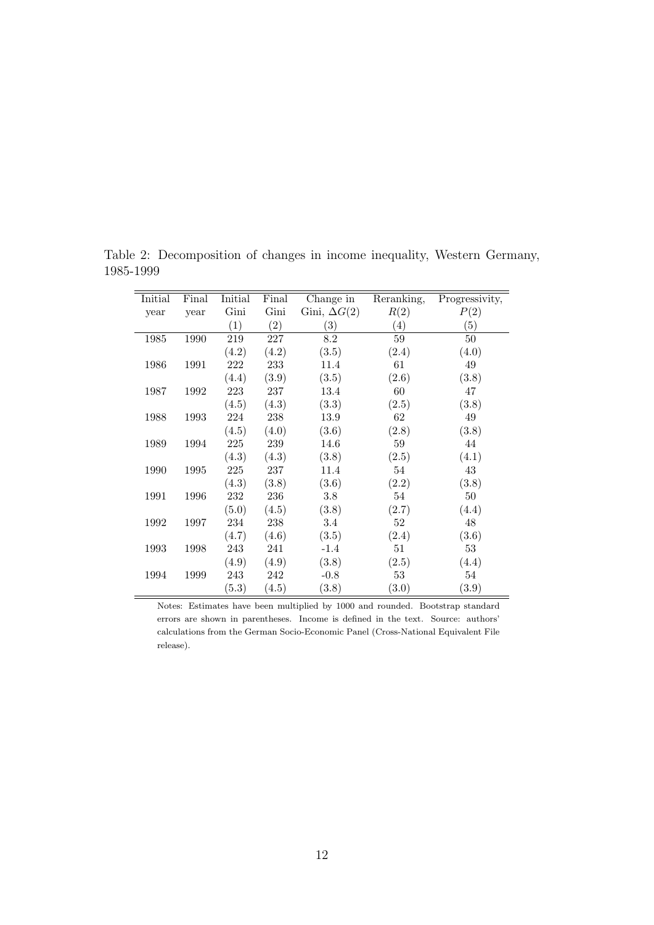| Initial | Final | Initial | Final | Change in           | Reranking,        | Progressivity,    |
|---------|-------|---------|-------|---------------------|-------------------|-------------------|
| year    | year  | Gini    | Gini  | Gini, $\Delta G(2)$ | R(2)              | P(2)              |
|         |       | (1)     | (2)   | (3)                 | $\left( 4\right)$ | $\left( 5\right)$ |
| 1985    | 1990  | 219     | 227   | 8.2                 | 59                | 50                |
|         |       | (4.2)   | (4.2) | (3.5)               | (2.4)             | (4.0)             |
| 1986    | 1991  | 222     | 233   | 11.4                | 61                | $49\,$            |
|         |       | (4.4)   | (3.9) | (3.5)               | (2.6)             | (3.8)             |
| 1987    | 1992  | 223     | 237   | 13.4                | 60                | 47                |
|         |       | (4.5)   | (4.3) | (3.3)               | (2.5)             | (3.8)             |
| 1988    | 1993  | $224\,$ | 238   | 13.9                | 62                | 49                |
|         |       | (4.5)   | (4.0) | (3.6)               | (2.8)             | (3.8)             |
| 1989    | 1994  | $225\,$ | 239   | 14.6                | 59                | 44                |
|         |       | (4.3)   | (4.3) | (3.8)               | (2.5)             | (4.1)             |
| 1990    | 1995  | $225\,$ | 237   | 11.4                | 54                | $43\,$            |
|         |       | (4.3)   | (3.8) | (3.6)               | (2.2)             | (3.8)             |
| 1991    | 1996  | 232     | 236   | 3.8                 | 54                | $50\,$            |
|         |       | (5.0)   | (4.5) | (3.8)               | (2.7)             | (4.4)             |
| 1992    | 1997  | 234     | 238   | $3.4\,$             | $52\,$            | $48\,$            |
|         |       | (4.7)   | (4.6) | (3.5)               | (2.4)             | (3.6)             |
| 1993    | 1998  | 243     | 241   | $-1.4$              | 51                | 53                |
|         |       | (4.9)   | (4.9) | (3.8)               | (2.5)             | (4.4)             |
| 1994    | 1999  | 243     | 242   | $-0.8$              | $53\,$            | 54                |
|         |       | (5.3)   | (4.5) | (3.8)               | (3.0)             | (3.9)             |

Table 2: Decomposition of changes in income inequality, Western Germany, 1985-1999

<span id="page-14-0"></span>

Notes: Estimates have been multiplied by 1000 and rounded. Bootstrap standard errors are shown in parentheses. Income is defined in the text. Source: authors' calculations from the German Socio-Economic Panel (Cross-National Equivalent File release).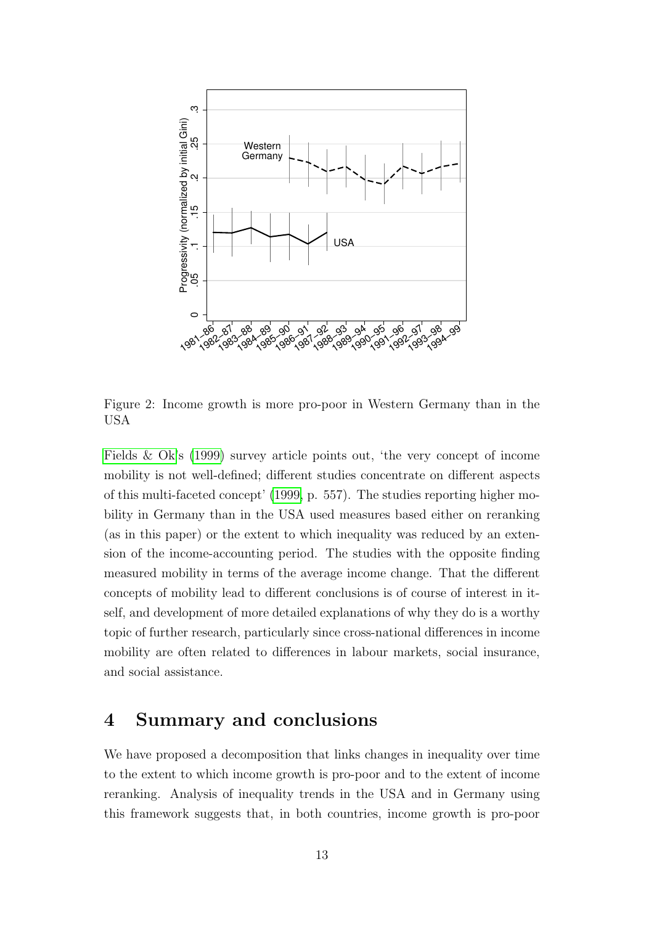

Figure 2: Income growth is more pro-poor in Western Germany than in the USA

[Fields & Ok'](#page-18-7)s [\(1999\)](#page-18-7) survey article points out, 'the very concept of income mobility is not well-defined; different studies concentrate on different aspects of this multi-faceted concept' [\(1999,](#page-18-7) p. 557). The studies reporting higher mobility in Germany than in the USA used measures based either on reranking (as in this paper) or the extent to which inequality was reduced by an extension of the income-accounting period. The studies with the opposite finding measured mobility in terms of the average income change. That the different concepts of mobility lead to different conclusions is of course of interest in itself, and development of more detailed explanations of why they do is a worthy topic of further research, particularly since cross-national differences in income mobility are often related to differences in labour markets, social insurance, and social assistance.

#### 4 Summary and conclusions

We have proposed a decomposition that links changes in inequality over time to the extent to which income growth is pro-poor and to the extent of income reranking. Analysis of inequality trends in the USA and in Germany using this framework suggests that, in both countries, income growth is pro-poor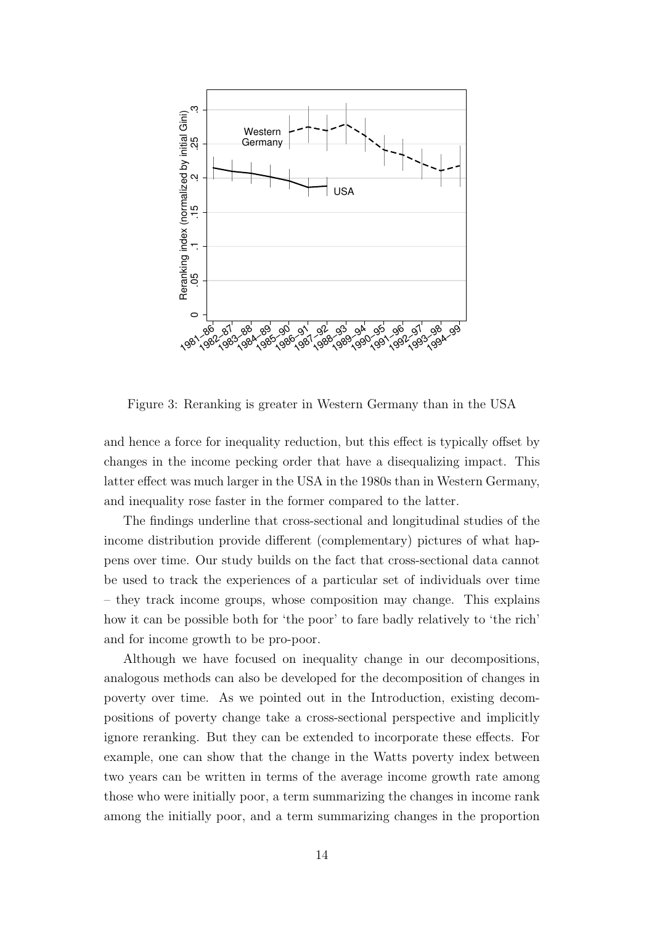

Figure 3: Reranking is greater in Western Germany than in the USA

and hence a force for inequality reduction, but this effect is typically offset by changes in the income pecking order that have a disequalizing impact. This latter effect was much larger in the USA in the 1980s than in Western Germany, and inequality rose faster in the former compared to the latter.

The findings underline that cross-sectional and longitudinal studies of the income distribution provide different (complementary) pictures of what happens over time. Our study builds on the fact that cross-sectional data cannot be used to track the experiences of a particular set of individuals over time – they track income groups, whose composition may change. This explains how it can be possible both for 'the poor' to fare badly relatively to 'the rich' and for income growth to be pro-poor.

Although we have focused on inequality change in our decompositions, analogous methods can also be developed for the decomposition of changes in poverty over time. As we pointed out in the Introduction, existing decompositions of poverty change take a cross-sectional perspective and implicitly ignore reranking. But they can be extended to incorporate these effects. For example, one can show that the change in the Watts poverty index between two years can be written in terms of the average income growth rate among those who were initially poor, a term summarizing the changes in income rank among the initially poor, and a term summarizing changes in the proportion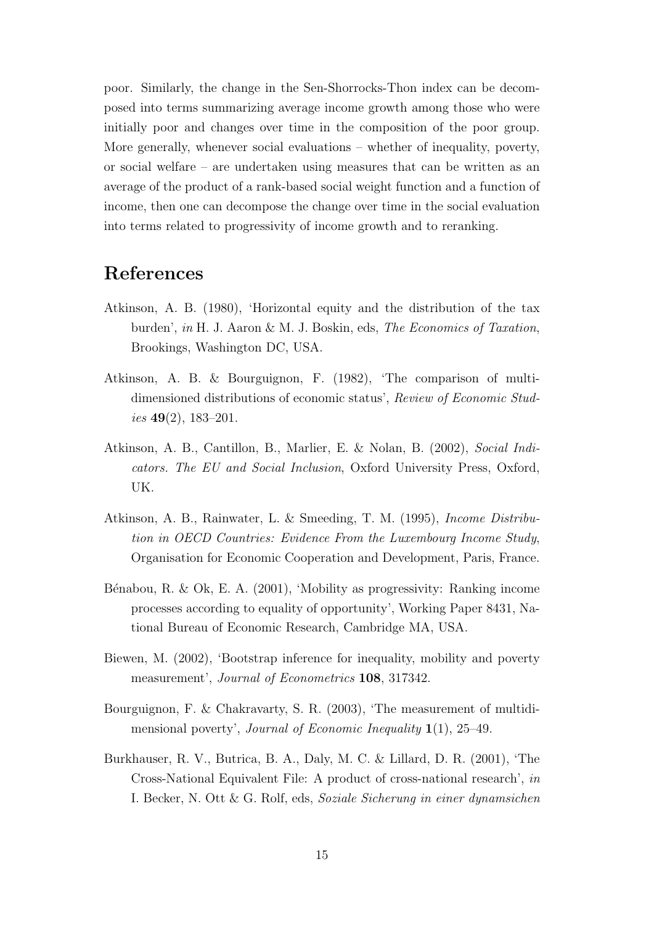poor. Similarly, the change in the Sen-Shorrocks-Thon index can be decomposed into terms summarizing average income growth among those who were initially poor and changes over time in the composition of the poor group. More generally, whenever social evaluations – whether of inequality, poverty, or social welfare – are undertaken using measures that can be written as an average of the product of a rank-based social weight function and a function of income, then one can decompose the change over time in the social evaluation into terms related to progressivity of income growth and to reranking.

#### References

- <span id="page-17-4"></span>Atkinson, A. B. (1980), 'Horizontal equity and the distribution of the tax burden', in H. J. Aaron & M. J. Boskin, eds, The Economics of Taxation, Brookings, Washington DC, USA.
- <span id="page-17-1"></span>Atkinson, A. B. & Bourguignon, F. (1982), 'The comparison of multidimensioned distributions of economic status', Review of Economic Studies  $49(2)$ , 183-201.
- <span id="page-17-6"></span>Atkinson, A. B., Cantillon, B., Marlier, E. & Nolan, B. (2002), Social Indicators. The EU and Social Inclusion, Oxford University Press, Oxford, UK.
- <span id="page-17-0"></span>Atkinson, A. B., Rainwater, L. & Smeeding, T. M. (1995), Income Distribution in OECD Countries: Evidence From the Luxembourg Income Study, Organisation for Economic Cooperation and Development, Paris, France.
- <span id="page-17-3"></span>Bénabou, R. & Ok, E. A. (2001), 'Mobility as progressivity: Ranking income processes according to equality of opportunity', Working Paper 8431, National Bureau of Economic Research, Cambridge MA, USA.
- <span id="page-17-7"></span>Biewen, M. (2002), 'Bootstrap inference for inequality, mobility and poverty measurement', Journal of Econometrics 108, 317342.
- <span id="page-17-2"></span>Bourguignon, F. & Chakravarty, S. R. (2003), 'The measurement of multidimensional poverty', Journal of Economic Inequality  $1(1)$ , 25–49.
- <span id="page-17-5"></span>Burkhauser, R. V., Butrica, B. A., Daly, M. C. & Lillard, D. R. (2001), 'The Cross-National Equivalent File: A product of cross-national research', in I. Becker, N. Ott & G. Rolf, eds, Soziale Sicherung in einer dynamsichen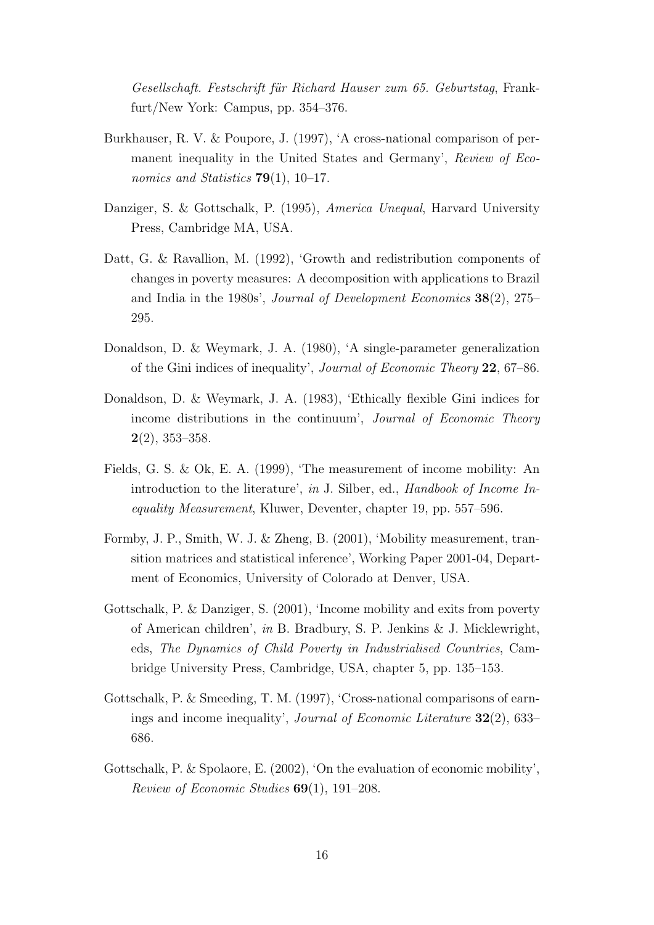Gesellschaft. Festschrift für Richard Hauser zum 65. Geburtstag, Frankfurt/New York: Campus, pp. 354–376.

- <span id="page-18-2"></span>Burkhauser, R. V. & Poupore, J. (1997), 'A cross-national comparison of permanent inequality in the United States and Germany', Review of Economics and Statistics  $79(1)$ , 10–17.
- <span id="page-18-1"></span>Danziger, S. & Gottschalk, P. (1995), America Unequal, Harvard University Press, Cambridge MA, USA.
- <span id="page-18-3"></span>Datt, G. & Ravallion, M. (1992), 'Growth and redistribution components of changes in poverty measures: A decomposition with applications to Brazil and India in the 1980s', Journal of Development Economics 38(2), 275– 295.
- <span id="page-18-5"></span>Donaldson, D. & Weymark, J. A. (1980), 'A single-parameter generalization of the Gini indices of inequality', Journal of Economic Theory 22, 67–86.
- <span id="page-18-6"></span>Donaldson, D. & Weymark, J. A. (1983), 'Ethically flexible Gini indices for income distributions in the continuum', Journal of Economic Theory  $2(2)$ , 353–358.
- <span id="page-18-7"></span>Fields, G. S. & Ok, E. A. (1999), 'The measurement of income mobility: An introduction to the literature', in J. Silber, ed., Handbook of Income Inequality Measurement, Kluwer, Deventer, chapter 19, pp. 557–596.
- <span id="page-18-9"></span>Formby, J. P., Smith, W. J. & Zheng, B. (2001), 'Mobility measurement, transition matrices and statistical inference', Working Paper 2001-04, Department of Economics, University of Colorado at Denver, USA.
- <span id="page-18-8"></span>Gottschalk, P. & Danziger, S. (2001), 'Income mobility and exits from poverty of American children', in B. Bradbury, S. P. Jenkins & J. Micklewright, eds, The Dynamics of Child Poverty in Industrialised Countries, Cambridge University Press, Cambridge, USA, chapter 5, pp. 135–153.
- <span id="page-18-0"></span>Gottschalk, P. & Smeeding, T. M. (1997), 'Cross-national comparisons of earnings and income inequality', Journal of Economic Literature 32(2), 633– 686.
- <span id="page-18-4"></span>Gottschalk, P. & Spolaore, E. (2002), 'On the evaluation of economic mobility', Review of Economic Studies 69(1), 191–208.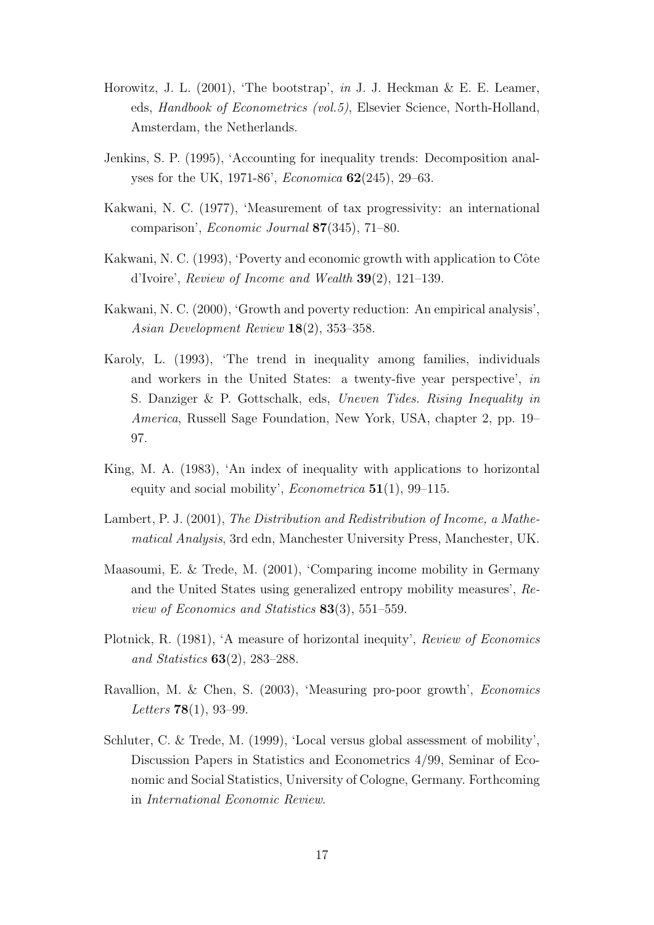- <span id="page-19-10"></span>Horowitz, J. L. (2001), 'The bootstrap', in J. J. Heckman & E. E. Leamer, eds, Handbook of Econometrics (vol.5), Elsevier Science, North-Holland, Amsterdam, the Netherlands.
- <span id="page-19-5"></span>Jenkins, S. P. (1995), 'Accounting for inequality trends: Decomposition analyses for the UK, 1971-86', Economica 62(245), 29–63.
- <span id="page-19-7"></span>Kakwani, N. C. (1977), 'Measurement of tax progressivity: an international comparison', Economic Journal 87(345), 71–80.
- <span id="page-19-2"></span>Kakwani, N. C. (1993), 'Poverty and economic growth with application to Côte d'Ivoire', Review of Income and Wealth 39(2), 121–139.
- <span id="page-19-3"></span>Kakwani, N. C. (2000), 'Growth and poverty reduction: An empirical analysis', Asian Development Review 18(2), 353–358.
- <span id="page-19-0"></span>Karoly, L. (1993), 'The trend in inequality among families, individuals and workers in the United States: a twenty-five year perspective', in S. Danziger & P. Gottschalk, eds, Uneven Tides. Rising Inequality in America, Russell Sage Foundation, New York, USA, chapter 2, pp. 19– 97.
- <span id="page-19-6"></span>King, M. A. (1983), 'An index of inequality with applications to horizontal equity and social mobility', *Econometrica*  $51(1)$ , 99–115.
- <span id="page-19-8"></span>Lambert, P. J. (2001), The Distribution and Redistribution of Income, a Mathematical Analysis, 3rd edn, Manchester University Press, Manchester, UK.
- <span id="page-19-1"></span>Maasoumi, E. & Trede, M. (2001), 'Comparing income mobility in Germany and the United States using generalized entropy mobility measures', Review of Economics and Statistics 83(3), 551–559.
- <span id="page-19-9"></span>Plotnick, R. (1981), 'A measure of horizontal inequity', Review of Economics and Statistics 63(2), 283–288.
- <span id="page-19-4"></span>Ravallion, M. & Chen, S. (2003), 'Measuring pro-poor growth', Economics *Letters*  $78(1)$ , 93-99.
- <span id="page-19-11"></span>Schluter, C. & Trede, M. (1999), 'Local versus global assessment of mobility', Discussion Papers in Statistics and Econometrics 4/99, Seminar of Economic and Social Statistics, University of Cologne, Germany. Forthcoming in International Economic Review.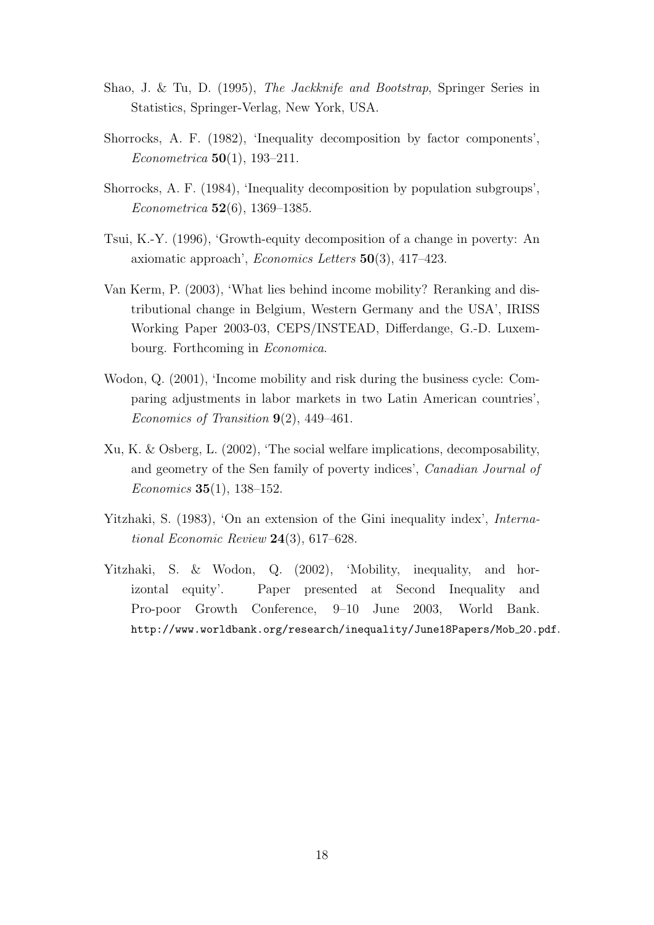- <span id="page-20-7"></span>Shao, J. & Tu, D. (1995), The Jackknife and Bootstrap, Springer Series in Statistics, Springer-Verlag, New York, USA.
- <span id="page-20-2"></span>Shorrocks, A. F. (1982), 'Inequality decomposition by factor components', Econometrica 50(1), 193–211.
- <span id="page-20-3"></span>Shorrocks, A. F. (1984), 'Inequality decomposition by population subgroups', Econometrica 52(6), 1369–1385.
- <span id="page-20-0"></span>Tsui, K.-Y. (1996), 'Growth-equity decomposition of a change in poverty: An axiomatic approach', Economics Letters 50(3), 417–423.
- <span id="page-20-8"></span>Van Kerm, P. (2003), 'What lies behind income mobility? Reranking and distributional change in Belgium, Western Germany and the USA', IRISS Working Paper 2003-03, CEPS/INSTEAD, Differdange, G.-D. Luxembourg. Forthcoming in Economica.
- <span id="page-20-6"></span>Wodon, Q. (2001), 'Income mobility and risk during the business cycle: Comparing adjustments in labor markets in two Latin American countries', Economics of Transition  $9(2)$ , 449-461.
- <span id="page-20-1"></span>Xu, K. & Osberg, L. (2002), 'The social welfare implications, decomposability, and geometry of the Sen family of poverty indices', Canadian Journal of Economics 35(1), 138–152.
- <span id="page-20-5"></span>Yitzhaki, S. (1983), 'On an extension of the Gini inequality index', International Economic Review 24(3), 617–628.
- <span id="page-20-4"></span>Yitzhaki, S. & Wodon, Q. (2002), 'Mobility, inequality, and horizontal equity'. Paper presented at Second Inequality and Pro-poor Growth Conference, 9–10 June 2003, World Bank. http://www.worldbank.org/research/inequality/June18Papers/Mob 20.pdf.